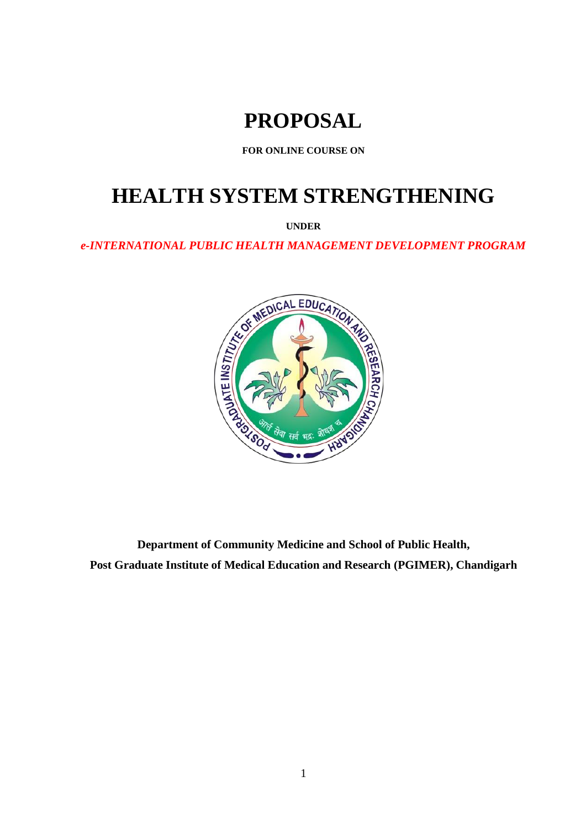# **PROPOSAL**

**FOR ONLINE COURSE ON**

# **HEALTH SYSTEM STRENGTHENING**

**UNDER**



**Department of Community Medicine and School of Public Health, Post Graduate Institute of Medical Education and Research (PGIMER), Chandigarh**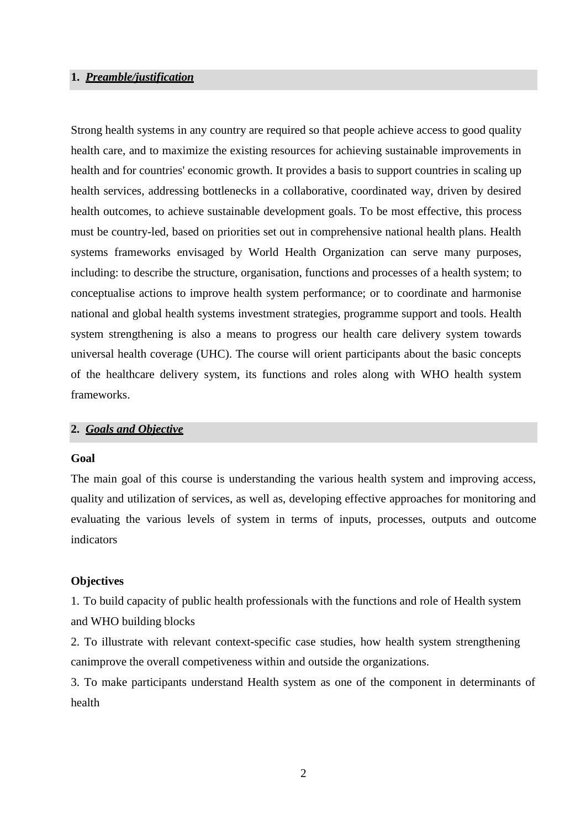### **1.** *Preamble/justification*

Strong health systems in any country are required so that people achieve access to good quality health care, and to maximize the existing resources for achieving sustainable improvements in health and for countries' economic growth. It provides a basis to support countries in scaling up health services, addressing bottlenecks in a collaborative, coordinated way, driven by desired health outcomes, to achieve sustainable development goals. To be most effective, this process must be country-led, based on priorities set out in comprehensive national health plans. Health systems frameworks envisaged by World Health Organization can serve many purposes, including: to describe the structure, organisation, functions and processes of a health system; to conceptualise actions to improve health system performance; or to coordinate and harmonise national and global health systems investment strategies, programme support and tools. Health system strengthening is also a means to progress our health care delivery system towards universal health coverage (UHC). The course will orient participants about the basic concepts of the healthcare delivery system, its functions and roles along with WHO health system frameworks.

## **2.** *Goals and Objective*

#### **Goal**

The main goal of this course is understanding the various health system and improving access, quality and utilization of services, as well as, developing effective approaches for monitoring and evaluating the various levels of system in terms of inputs, processes, outputs and outcome indicators

#### **Objectives**

1. To build capacity of public health professionals with the functions and role of Health system and WHO building blocks

2. To illustrate with relevant context-specific case studies, how health system strengthening canimprove the overall competiveness within and outside the organizations.

3. To make participants understand Health system as one of the component in determinants of health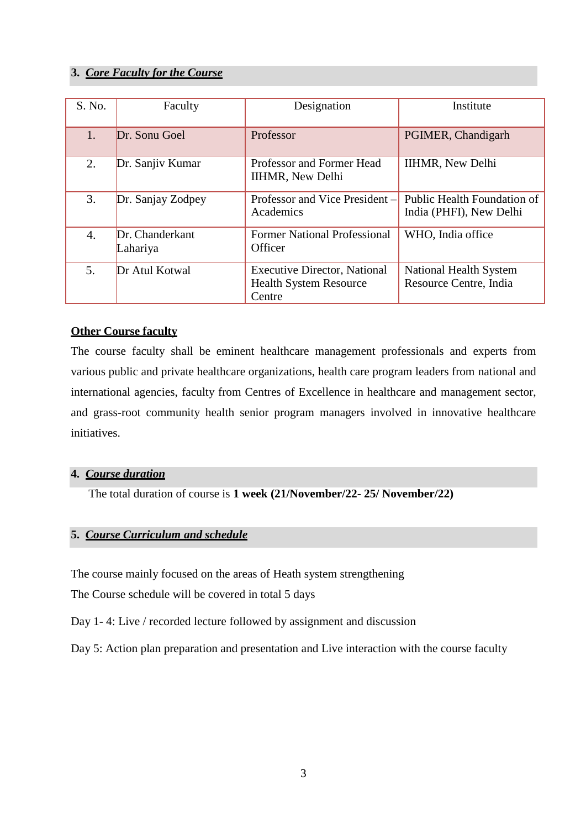# **3.** *Core Faculty for the Course*

| S. No. | Faculty                     | Designation                                                                    | Institute                                              |
|--------|-----------------------------|--------------------------------------------------------------------------------|--------------------------------------------------------|
| 1.     | Dr. Sonu Goel               | Professor                                                                      | PGIMER, Chandigarh                                     |
| 2.     | Dr. Sanjiv Kumar            | Professor and Former Head<br><b>IIHMR, New Delhi</b>                           | <b>IIHMR, New Delhi</b>                                |
| 3.     | Dr. Sanjay Zodpey           | Professor and Vice President –<br>Academics                                    | Public Health Foundation of<br>India (PHFI), New Delhi |
| 4.     | Dr. Chanderkant<br>Lahariya | <b>Former National Professional</b><br>Officer                                 | WHO, India office                                      |
| 5.     | Dr Atul Kotwal              | <b>Executive Director, National</b><br><b>Health System Resource</b><br>Centre | National Health System<br>Resource Centre, India       |

# **Other Course faculty**

The course faculty shall be eminent healthcare management professionals and experts from various public and private healthcare organizations, health care program leaders from national and international agencies, faculty from Centres of Excellence in healthcare and management sector, and grass-root community health senior program managers involved in innovative healthcare initiatives.

## **4.** *Course duration*

The total duration of course is **1 week (21/November/22- 25/ November/22)**

### **5.** *Course Curriculum and schedule*

The course mainly focused on the areas of Heath system strengthening

The Course schedule will be covered in total 5 days

Day 1- 4: Live / recorded lecture followed by assignment and discussion

Day 5: Action plan preparation and presentation and Live interaction with the course faculty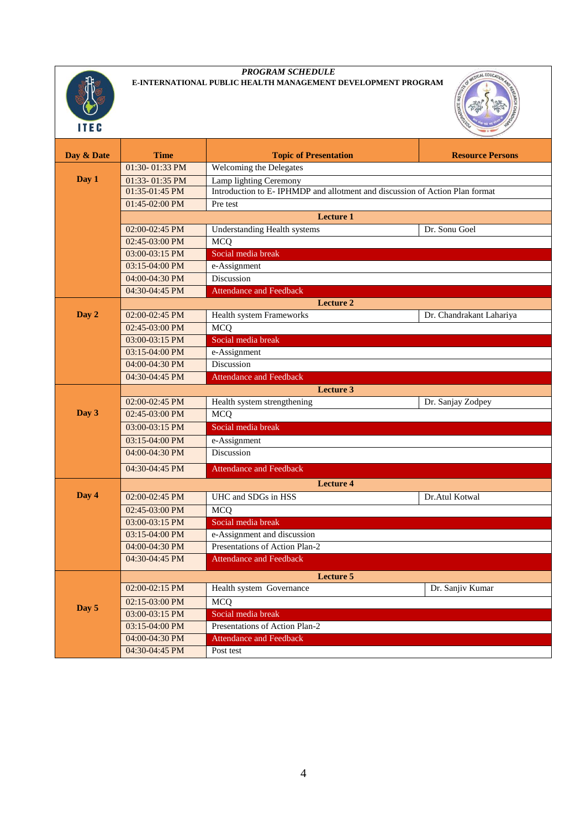

#### *PROGRAM SCHEDULE*  **E-INTERNATIONAL PUBLIC HEALTH MANAGEMENT DEVELOPMENT PROGRAM**



| Day & Date | <b>Time</b>      | <b>Topic of Presentation</b>                                                | <b>Resource Persons</b>  |  |  |
|------------|------------------|-----------------------------------------------------------------------------|--------------------------|--|--|
|            | 01:30-01:33 PM   | Welcoming the Delegates                                                     |                          |  |  |
| Day 1      | 01:33-01:35 PM   | Lamp lighting Ceremony                                                      |                          |  |  |
|            | 01:35-01:45 PM   | Introduction to E-IPHMDP and allotment and discussion of Action Plan format |                          |  |  |
|            | 01:45-02:00 PM   | Pre test                                                                    |                          |  |  |
|            |                  | <b>Lecture 1</b>                                                            |                          |  |  |
|            | 02:00-02:45 PM   | <b>Understanding Health systems</b>                                         | Dr. Sonu Goel            |  |  |
|            | 02:45-03:00 PM   | <b>MCQ</b>                                                                  |                          |  |  |
|            | 03:00-03:15 PM   | Social media break                                                          |                          |  |  |
|            | 03:15-04:00 PM   | e-Assignment                                                                |                          |  |  |
|            | 04:00-04:30 PM   | Discussion                                                                  |                          |  |  |
|            | 04:30-04:45 PM   | <b>Attendance and Feedback</b>                                              |                          |  |  |
|            | <b>Lecture 2</b> |                                                                             |                          |  |  |
| Day 2      | 02:00-02:45 PM   | Health system Frameworks                                                    | Dr. Chandrakant Lahariya |  |  |
|            | 02:45-03:00 PM   | <b>MCQ</b>                                                                  |                          |  |  |
|            | 03:00-03:15 PM   | Social media break                                                          |                          |  |  |
|            | 03:15-04:00 PM   | e-Assignment                                                                |                          |  |  |
|            | 04:00-04:30 PM   | Discussion                                                                  |                          |  |  |
|            | 04:30-04:45 PM   | <b>Attendance and Feedback</b>                                              |                          |  |  |
|            | <b>Lecture 3</b> |                                                                             |                          |  |  |
|            | 02:00-02:45 PM   | Health system strengthening                                                 | Dr. Sanjay Zodpey        |  |  |
| Day 3      | 02:45-03:00 PM   | <b>MCQ</b>                                                                  |                          |  |  |
|            | 03:00-03:15 PM   | Social media break                                                          |                          |  |  |
|            | 03:15-04:00 PM   | e-Assignment                                                                |                          |  |  |
|            | 04:00-04:30 PM   | Discussion                                                                  |                          |  |  |
|            | 04:30-04:45 PM   | <b>Attendance and Feedback</b>                                              |                          |  |  |
|            | <b>Lecture 4</b> |                                                                             |                          |  |  |
| Day 4      | 02:00-02:45 PM   | UHC and SDGs in HSS                                                         | Dr.Atul Kotwal           |  |  |
|            | 02:45-03:00 PM   | <b>MCQ</b>                                                                  |                          |  |  |
|            | 03:00-03:15 PM   | Social media break                                                          |                          |  |  |
|            | 03:15-04:00 PM   | e-Assignment and discussion                                                 |                          |  |  |
|            | 04:00-04:30 PM   | Presentations of Action Plan-2                                              |                          |  |  |
|            | 04:30-04:45 PM   | <b>Attendance and Feedback</b>                                              |                          |  |  |
|            | <b>Lecture 5</b> |                                                                             |                          |  |  |
|            | 02:00-02:15 PM   | Health system Governance                                                    | Dr. Sanjiv Kumar         |  |  |
|            | 02:15-03:00 PM   | <b>MCQ</b>                                                                  |                          |  |  |
| Day 5      | 03:00-03:15 PM   | Social media break                                                          |                          |  |  |
|            | 03:15-04:00 PM   | Presentations of Action Plan-2                                              |                          |  |  |
|            | 04:00-04:30 PM   | <b>Attendance and Feedback</b>                                              |                          |  |  |
|            | 04:30-04:45 PM   | Post test                                                                   |                          |  |  |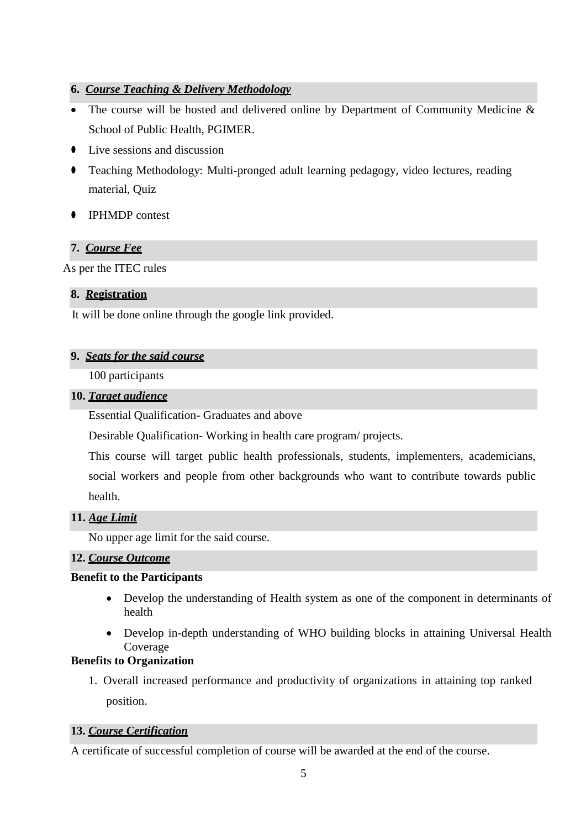# **6.** *Course Teaching & Delivery Methodology*

- The course will be hosted and delivered online by Department of Community Medicine & School of Public Health, PGIMER.
- ⚫ Live sessions and discussion
- ⚫ Teaching Methodology: Multi-pronged adult learning pedagogy, video lectures, reading material, Quiz
- ⚫ IPHMDP contest

# **7.** *Course Fee*

As per the ITEC rules

# **8.** *R***egistration**

It will be done online through the google link provided.

# **9.** *Seats for the said course*

100 participants

## **10.** *Target audience*

Essential Qualification- Graduates and above

Desirable Qualification- Working in health care program/ projects.

This course will target public health professionals, students, implementers, academicians, social workers and people from other backgrounds who want to contribute towards public health.

# **11.** *Age Limit*

No upper age limit for the said course.

### **12.** *Course Outcome*

### **Benefit to the Participants**

- Develop the understanding of Health system as one of the component in determinants of health
- Develop in-depth understanding of WHO building blocks in attaining Universal Health Coverage

# **Benefits to Organization**

1. Overall increased performance and productivity of organizations in attaining top ranked position.

# **13.** *Course Certification*

A certificate of successful completion of course will be awarded at the end of the course.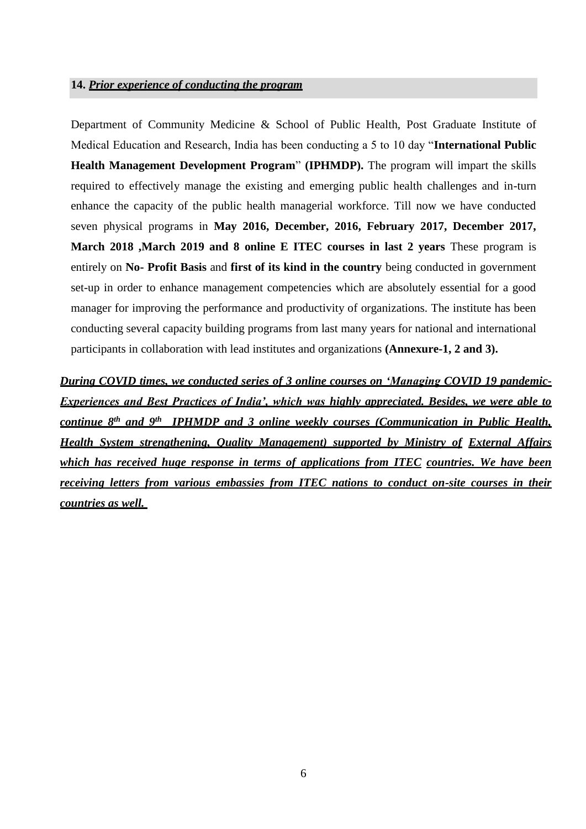#### **14.** *Prior experience of conducting the program*

Department of Community Medicine & School of Public Health, Post Graduate Institute of Medical Education and Research, India has been conducting a 5 to 10 day "**International Public Health Management Development Program**" **(IPHMDP).** The program will impart the skills required to effectively manage the existing and emerging public health challenges and in-turn enhance the capacity of the public health managerial workforce. Till now we have conducted seven physical programs in **May 2016, December, 2016, February 2017, December 2017, March 2018 ,March 2019 and 8 online E ITEC courses in last 2 years** These program is entirely on **No- Profit Basis** and **first of its kind in the country** being conducted in government set-up in order to enhance management competencies which are absolutely essential for a good manager for improving the performance and productivity of organizations. The institute has been conducting several capacity building programs from last many years for national and international participants in collaboration with lead institutes and organizations **(Annexure-1, 2 and 3).**

*During COVID times, we conducted series of 3 online courses on 'Managing COVID 19 pandemic-Experiences and Best Practices of India', which was highly appreciated. Besides, we were able to continue 8th and 9th IPHMDP and 3 online weekly courses (Communication in Public Health, Health System strengthening, Quality Management) supported by Ministry of External Affairs which has received huge response in terms of applications from ITEC countries. We have been receiving letters from various embassies from ITEC nations to conduct on-site courses in their countries as well.*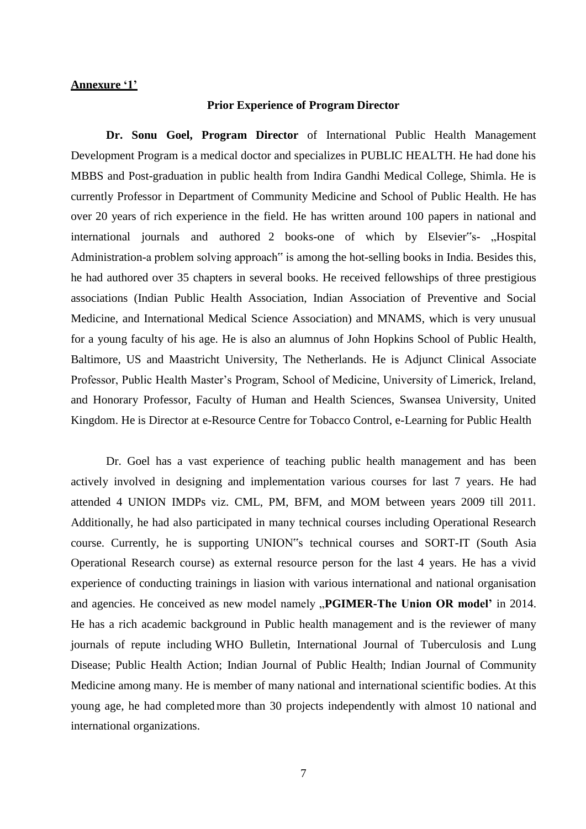#### **Annexure '1'**

#### **Prior Experience of Program Director**

**Dr. Sonu Goel, Program Director** of International Public Health Management Development Program is a medical doctor and specializes in PUBLIC HEALTH. He had done his MBBS and Post-graduation in public health from Indira Gandhi Medical College, Shimla. He is currently Professor in Department of Community Medicine and School of Public Health. He has over 20 years of rich experience in the field. He has written around 100 papers in national and international journals and authored 2 books-one of which by Elsevier"s- "Hospital Administration-a problem solving approach" is among the hot-selling books in India. Besides this, he had authored over 35 chapters in several books. He received fellowships of three prestigious associations (Indian Public Health Association, Indian Association of Preventive and Social Medicine, and International Medical Science Association) and MNAMS, which is very unusual for a young faculty of his age. He is also an alumnus of John Hopkins School of Public Health, Baltimore, US and Maastricht University, The Netherlands. He is Adjunct Clinical Associate Professor, Public Health Master's Program, School of Medicine, University of Limerick, Ireland, and Honorary Professor, Faculty of Human and Health Sciences, Swansea University, United Kingdom. He is Director at e-Resource Centre for Tobacco Control, e-Learning for Public Health

Dr. Goel has a vast experience of teaching public health management and has been actively involved in designing and implementation various courses for last 7 years. He had attended 4 UNION IMDPs viz. CML, PM, BFM, and MOM between years 2009 till 2011. Additionally, he had also participated in many technical courses including Operational Research course. Currently, he is supporting UNION"s technical courses and SORT-IT (South Asia Operational Research course) as external resource person for the last 4 years. He has a vivid experience of conducting trainings in liasion with various international and national organisation and agencies. He conceived as new model namely "PGIMER-The Union OR model' in 2014. He has a rich academic background in Public health management and is the reviewer of many journals of repute including WHO Bulletin, International Journal of Tuberculosis and Lung Disease; Public Health Action; Indian Journal of Public Health; Indian Journal of Community Medicine among many. He is member of many national and international scientific bodies. At this young age, he had completedmore than 30 projects independently with almost 10 national and international organizations.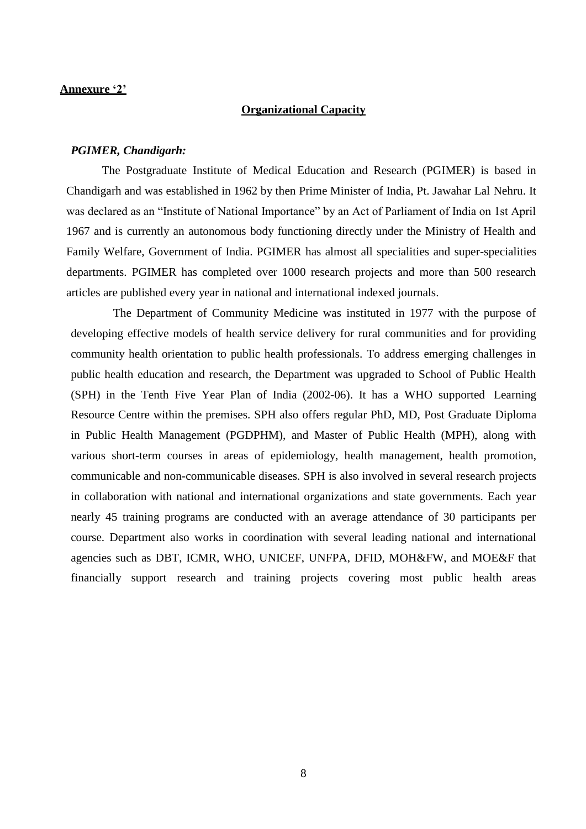#### **Annexure '2'**

#### **Organizational Capacity**

#### *PGIMER, Chandigarh:*

The Postgraduate Institute of Medical Education and Research (PGIMER) is based in Chandigarh and was established in 1962 by then Prime Minister of India, Pt. Jawahar Lal Nehru. It was declared as an "Institute of National Importance" by an Act of Parliament of India on 1st April 1967 and is currently an autonomous body functioning directly under the Ministry of Health and Family Welfare, Government of India. PGIMER has almost all specialities and super-specialities departments. PGIMER has completed over 1000 research projects and more than 500 research articles are published every year in national and international indexed journals.

The Department of Community Medicine was instituted in 1977 with the purpose of developing effective models of health service delivery for rural communities and for providing community health orientation to public health professionals. To address emerging challenges in public health education and research, the Department was upgraded to School of Public Health (SPH) in the Tenth Five Year Plan of India (2002-06). It has a WHO supported Learning Resource Centre within the premises. SPH also offers regular PhD, MD, Post Graduate Diploma in Public Health Management (PGDPHM), and Master of Public Health (MPH), along with various short-term courses in areas of epidemiology, health management, health promotion, communicable and non-communicable diseases. SPH is also involved in several research projects in collaboration with national and international organizations and state governments. Each year nearly 45 training programs are conducted with an average attendance of 30 participants per course. Department also works in coordination with several leading national and international agencies such as DBT, ICMR, WHO, UNICEF, UNFPA, DFID, MOH&FW, and MOE&F that financially support research and training projects covering most public health areas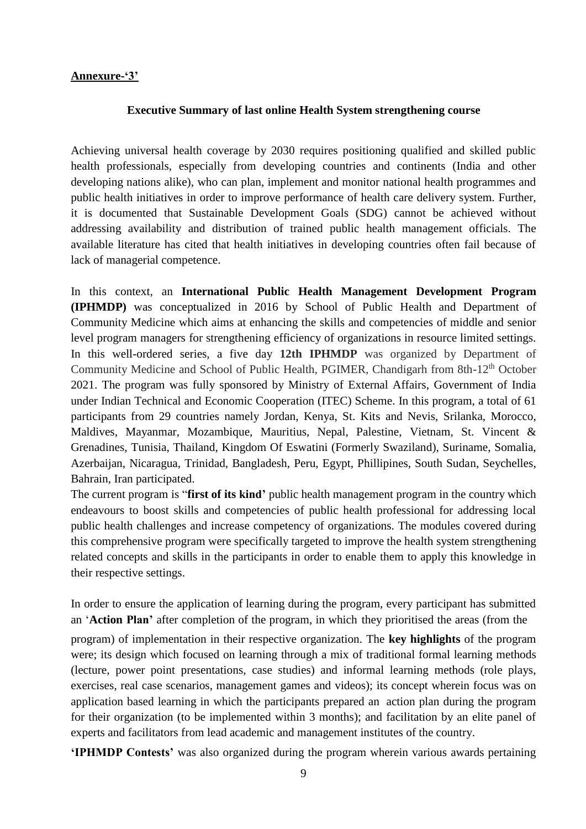## **Annexure-'3'**

#### **Executive Summary of last online Health System strengthening course**

Achieving universal health coverage by 2030 requires positioning qualified and skilled public health professionals, especially from developing countries and continents (India and other developing nations alike), who can plan, implement and monitor national health programmes and public health initiatives in order to improve performance of health care delivery system. Further, it is documented that Sustainable Development Goals (SDG) cannot be achieved without addressing availability and distribution of trained public health management officials. The available literature has cited that health initiatives in developing countries often fail because of lack of managerial competence.

In this context, an **International Public Health Management Development Program (IPHMDP)** was conceptualized in 2016 by School of Public Health and Department of Community Medicine which aims at enhancing the skills and competencies of middle and senior level program managers for strengthening efficiency of organizations in resource limited settings. In this well-ordered series, a five day **12th IPHMDP** was organized by Department of Community Medicine and School of Public Health, PGIMER, Chandigarh from 8th-12<sup>th</sup> October 2021. The program was fully sponsored by Ministry of External Affairs, Government of India under Indian Technical and Economic Cooperation (ITEC) Scheme. In this program, a total of 61 participants from 29 countries namely Jordan, Kenya, St. Kits and Nevis, Srilanka, Morocco, Maldives, Mayanmar, Mozambique, Mauritius, Nepal, Palestine, Vietnam, St. Vincent & Grenadines, Tunisia, Thailand, Kingdom Of Eswatini (Formerly Swaziland), Suriname, Somalia, Azerbaijan, Nicaragua, Trinidad, Bangladesh, Peru, Egypt, Phillipines, South Sudan, Seychelles, Bahrain, Iran participated.

The current program is "**first of its kind'** public health management program in the country which endeavours to boost skills and competencies of public health professional for addressing local public health challenges and increase competency of organizations. The modules covered during this comprehensive program were specifically targeted to improve the health system strengthening related concepts and skills in the participants in order to enable them to apply this knowledge in their respective settings.

In order to ensure the application of learning during the program, every participant has submitted an '**Action Plan'** after completion of the program, in which they prioritised the areas (from the

program) of implementation in their respective organization. The **key highlights** of the program were; its design which focused on learning through a mix of traditional formal learning methods (lecture, power point presentations, case studies) and informal learning methods (role plays, exercises, real case scenarios, management games and videos); its concept wherein focus was on application based learning in which the participants prepared an action plan during the program for their organization (to be implemented within 3 months); and facilitation by an elite panel of experts and facilitators from lead academic and management institutes of the country.

**'IPHMDP Contests'** was also organized during the program wherein various awards pertaining